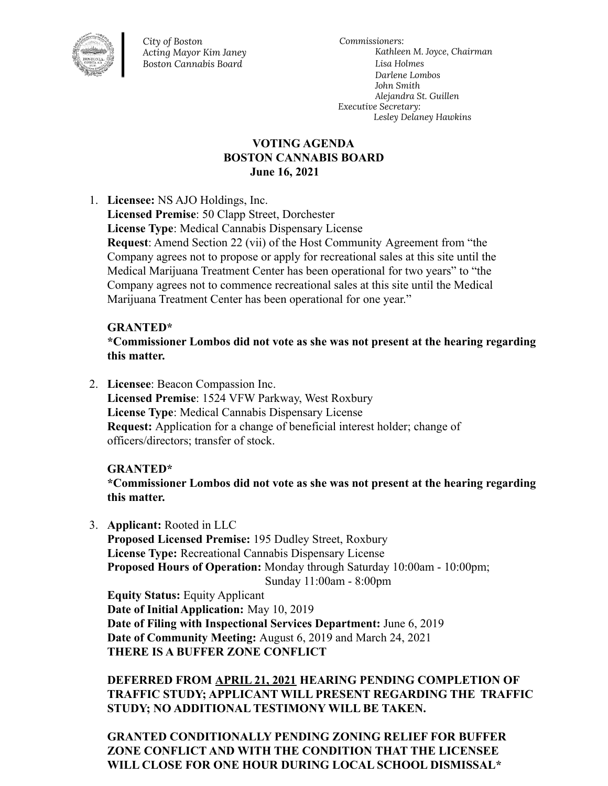

*City of Boston Acting Mayor Kim Janey Boston Cannabis Board*

*Commissioners: Kathleen M. Joyce, Chairman Lisa Holmes Darlene Lombos John Smith Alejandra St. Guillen Executive Secretary: Lesley Delaney Hawkins*

## **VOTING AGENDA BOSTON CANNABIS BOARD June 16, 2021**

1. **Licensee:** NS AJO Holdings, Inc.

**Licensed Premise**: 50 Clapp Street, Dorchester **License Type**: Medical Cannabis Dispensary License **Request**: Amend Section 22 (vii) of the Host Community Agreement from "the Company agrees not to propose or apply for recreational sales at this site until the Medical Marijuana Treatment Center has been operational for two years" to "the Company agrees not to commence recreational sales at this site until the Medical Marijuana Treatment Center has been operational for one year."

# **GRANTED\***

**\*Commissioner Lombos did not vote as she was not present at the hearing regarding this matter.**

2. **Licensee**: Beacon Compassion Inc. **Licensed Premise**: 1524 VFW Parkway, West Roxbury **License Type**: Medical Cannabis Dispensary License **Request:** Application for a change of beneficial interest holder; change of officers/directors; transfer of stock.

### **GRANTED\***

**\*Commissioner Lombos did not vote as she was not present at the hearing regarding this matter.**

3. **Applicant:** Rooted in LLC

**Proposed Licensed Premise:** 195 Dudley Street, Roxbury **License Type:** Recreational Cannabis Dispensary License **Proposed Hours of Operation:** Monday through Saturday 10:00am - 10:00pm; Sunday 11:00am - 8:00pm

**Equity Status:** Equity Applicant **Date of Initial Application:** May 10, 2019 **Date of Filing with Inspectional Services Department:** June 6, 2019 **Date of Community Meeting:** August 6, 2019 and March 24, 2021 **THERE IS A BUFFER ZONE CONFLICT**

**DEFERRED FROM APRIL 21, 2021 HEARING PENDING COMPLETION OF TRAFFIC STUDY; APPLICANT WILL PRESENT REGARDING THE TRAFFIC STUDY; NO ADDITIONAL TESTIMONY WILL BE TAKEN.**

**GRANTED CONDITIONALLY PENDING ZONING RELIEF FOR BUFFER ZONE CONFLICT AND WITH THE CONDITION THAT THE LICENSEE WILL CLOSE FOR ONE HOUR DURING LOCAL SCHOOL DISMISSAL\***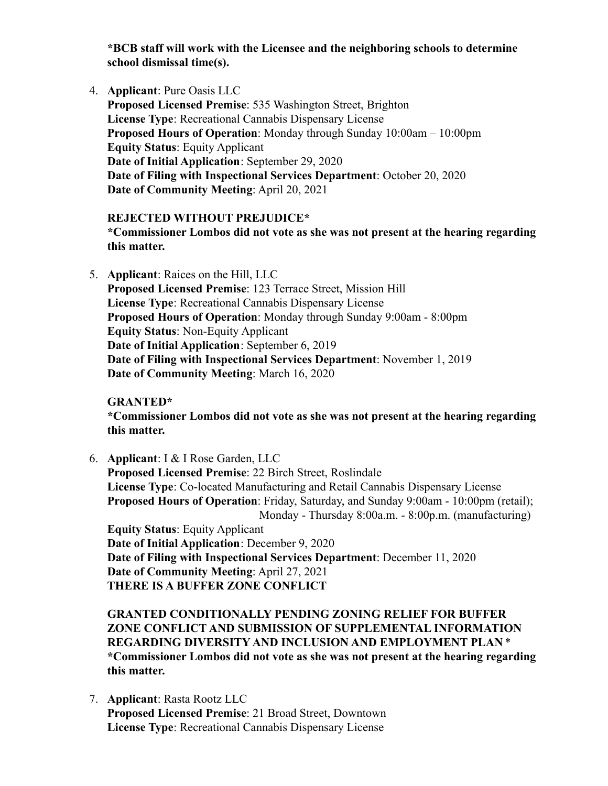**\*BCB staff will work with the Licensee and the neighboring schools to determine school dismissal time(s).**

4. **Applicant**: Pure Oasis LLC

**Proposed Licensed Premise**: 535 Washington Street, Brighton **License Type**: Recreational Cannabis Dispensary License **Proposed Hours of Operation**: Monday through Sunday 10:00am – 10:00pm **Equity Status**: Equity Applicant **Date of Initial Application**: September 29, 2020 **Date of Filing with Inspectional Services Department**: October 20, 2020 **Date of Community Meeting**: April 20, 2021

**REJECTED WITHOUT PREJUDICE\* \*Commissioner Lombos did not vote as she was not present at the hearing regarding this matter.**

5. **Applicant**: Raices on the Hill, LLC **Proposed Licensed Premise**: 123 Terrace Street, Mission Hill **License Type**: Recreational Cannabis Dispensary License **Proposed Hours of Operation**: Monday through Sunday 9:00am - 8:00pm **Equity Status**: Non-Equity Applicant **Date of Initial Application**: September 6, 2019 **Date of Filing with Inspectional Services Department**: November 1, 2019 **Date of Community Meeting**: March 16, 2020

**GRANTED\***

**\*Commissioner Lombos did not vote as she was not present at the hearing regarding this matter.**

6. **Applicant**: I & I Rose Garden, LLC **Proposed Licensed Premise**: 22 Birch Street, Roslindale **License Type**: Co-located Manufacturing and Retail Cannabis Dispensary License **Proposed Hours of Operation**: Friday, Saturday, and Sunday 9:00am - 10:00pm (retail); Monday - Thursday 8:00a.m. - 8:00p.m. (manufacturing) **Equity Status**: Equity Applicant **Date of Initial Application**: December 9, 2020 **Date of Filing with Inspectional Services Department**: December 11, 2020 **Date of Community Meeting**: April 27, 2021 **THERE IS A BUFFER ZONE CONFLICT**

**GRANTED CONDITIONALLY PENDING ZONING RELIEF FOR BUFFER ZONE CONFLICT AND SUBMISSION OF SUPPLEMENTAL INFORMATION REGARDING DIVERSITY AND INCLUSION AND EMPLOYMENT PLAN** \* **\*Commissioner Lombos did not vote as she was not present at the hearing regarding this matter.**

7. **Applicant**: Rasta Rootz LLC **Proposed Licensed Premise**: 21 Broad Street, Downtown **License Type**: Recreational Cannabis Dispensary License